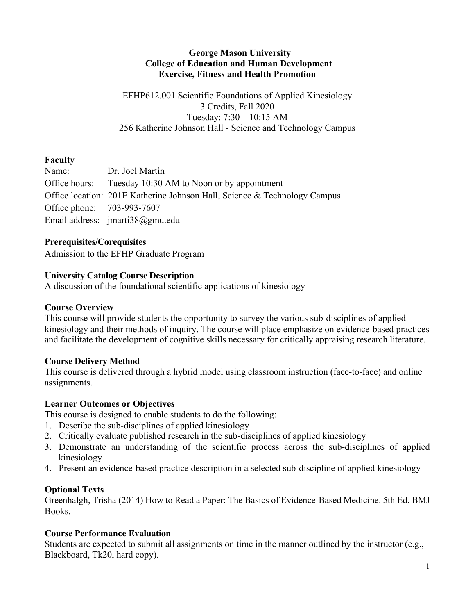## **George Mason University College of Education and Human Development Exercise, Fitness and Health Promotion**

EFHP612.001 Scientific Foundations of Applied Kinesiology 3 Credits, Fall 2020 Tuesday: 7:30 – 10:15 AM 256 Katherine Johnson Hall - Science and Technology Campus

# **Faculty**

|                            | Name: Dr. Joel Martin                                                     |
|----------------------------|---------------------------------------------------------------------------|
|                            | Office hours: Tuesday 10:30 AM to Noon or by appointment                  |
|                            | Office location: 201E Katherine Johnson Hall, Science & Technology Campus |
| Office phone: 703-993-7607 |                                                                           |
|                            | Email address: $jmarti38@gmu.edu$                                         |

## **Prerequisites/Corequisites**

Admission to the EFHP Graduate Program

# **University Catalog Course Description**

A discussion of the foundational scientific applications of kinesiology

# **Course Overview**

This course will provide students the opportunity to survey the various sub-disciplines of applied kinesiology and their methods of inquiry. The course will place emphasize on evidence-based practices and facilitate the development of cognitive skills necessary for critically appraising research literature.

## **Course Delivery Method**

This course is delivered through a hybrid model using classroom instruction (face-to-face) and online assignments.

## **Learner Outcomes or Objectives**

This course is designed to enable students to do the following:

- 1. Describe the sub-disciplines of applied kinesiology
- 2. Critically evaluate published research in the sub-disciplines of applied kinesiology
- 3. Demonstrate an understanding of the scientific process across the sub-disciplines of applied kinesiology
- 4. Present an evidence-based practice description in a selected sub-discipline of applied kinesiology

# **Optional Texts**

Greenhalgh, Trisha (2014) How to Read a Paper: The Basics of Evidence-Based Medicine. 5th Ed. BMJ Books.

## **Course Performance Evaluation**

Students are expected to submit all assignments on time in the manner outlined by the instructor (e.g., Blackboard, Tk20, hard copy).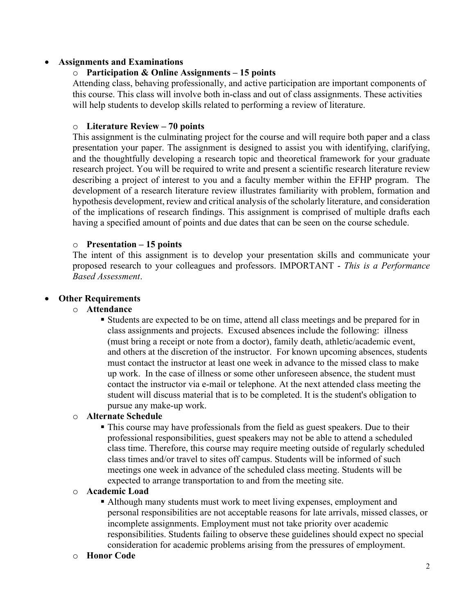### • **Assignments and Examinations**

### o **Participation & Online Assignments – 15 points**

Attending class, behaving professionally, and active participation are important components of this course. This class will involve both in-class and out of class assignments. These activities will help students to develop skills related to performing a review of literature.

### o **Literature Review – 70 points**

This assignment is the culminating project for the course and will require both paper and a class presentation your paper. The assignment is designed to assist you with identifying, clarifying, and the thoughtfully developing a research topic and theoretical framework for your graduate research project. You will be required to write and present a scientific research literature review describing a project of interest to you and a faculty member within the EFHP program. The development of a research literature review illustrates familiarity with problem, formation and hypothesis development, review and critical analysis of the scholarly literature, and consideration of the implications of research findings. This assignment is comprised of multiple drafts each having a specified amount of points and due dates that can be seen on the course schedule.

### o **Presentation – 15 points**

The intent of this assignment is to develop your presentation skills and communicate your proposed research to your colleagues and professors. IMPORTANT - *This is a Performance Based Assessment*.

### • **Other Requirements**

### o **Attendance**

■ Students are expected to be on time, attend all class meetings and be prepared for in class assignments and projects. Excused absences include the following: illness (must bring a receipt or note from a doctor), family death, athletic/academic event, and others at the discretion of the instructor. For known upcoming absences, students must contact the instructor at least one week in advance to the missed class to make up work. In the case of illness or some other unforeseen absence, the student must contact the instructor via e-mail or telephone. At the next attended class meeting the student will discuss material that is to be completed. It is the student's obligation to pursue any make-up work.

## o **Alternate Schedule**

§ This course may have professionals from the field as guest speakers. Due to their professional responsibilities, guest speakers may not be able to attend a scheduled class time. Therefore, this course may require meeting outside of regularly scheduled class times and/or travel to sites off campus. Students will be informed of such meetings one week in advance of the scheduled class meeting. Students will be expected to arrange transportation to and from the meeting site.

#### o **Academic Load**

§ Although many students must work to meet living expenses, employment and personal responsibilities are not acceptable reasons for late arrivals, missed classes, or incomplete assignments. Employment must not take priority over academic responsibilities. Students failing to observe these guidelines should expect no special consideration for academic problems arising from the pressures of employment.

#### o **Honor Code**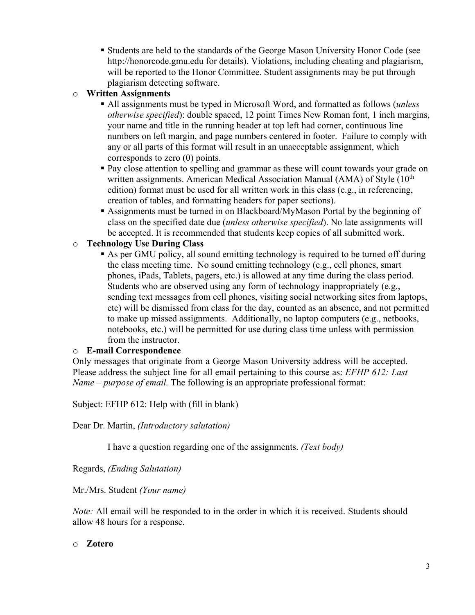§ Students are held to the standards of the George Mason University Honor Code (see http://honorcode.gmu.edu for details). Violations, including cheating and plagiarism, will be reported to the Honor Committee. Student assignments may be put through plagiarism detecting software.

# o **Written Assignments**

- § All assignments must be typed in Microsoft Word, and formatted as follows (*unless otherwise specified*): double spaced, 12 point Times New Roman font, 1 inch margins, your name and title in the running header at top left had corner, continuous line numbers on left margin, and page numbers centered in footer. Failure to comply with any or all parts of this format will result in an unacceptable assignment, which corresponds to zero (0) points.
- Pay close attention to spelling and grammar as these will count towards your grade on written assignments. American Medical Association Manual (AMA) of Style  $(10<sup>th</sup>$ edition) format must be used for all written work in this class (e.g., in referencing, creation of tables, and formatting headers for paper sections).
- § Assignments must be turned in on Blackboard/MyMason Portal by the beginning of class on the specified date due (*unless otherwise specified*). No late assignments will be accepted. It is recommended that students keep copies of all submitted work.

# o **Technology Use During Class**

§ As per GMU policy, all sound emitting technology is required to be turned off during the class meeting time. No sound emitting technology (e.g., cell phones, smart phones, iPads, Tablets, pagers, etc.) is allowed at any time during the class period. Students who are observed using any form of technology inappropriately (e.g., sending text messages from cell phones, visiting social networking sites from laptops, etc) will be dismissed from class for the day, counted as an absence, and not permitted to make up missed assignments. Additionally, no laptop computers (e.g., netbooks, notebooks, etc.) will be permitted for use during class time unless with permission from the instructor.

## o **E-mail Correspondence**

Only messages that originate from a George Mason University address will be accepted. Please address the subject line for all email pertaining to this course as: *EFHP 612: Last Name – purpose of email.* The following is an appropriate professional format:

Subject: EFHP 612: Help with (fill in blank)

Dear Dr. Martin, *(Introductory salutation)*

I have a question regarding one of the assignments. *(Text body)*

Regards, *(Ending Salutation)*

Mr./Mrs. Student *(Your name)*

*Note:* All email will be responded to in the order in which it is received. Students should allow 48 hours for a response.

## o **Zotero**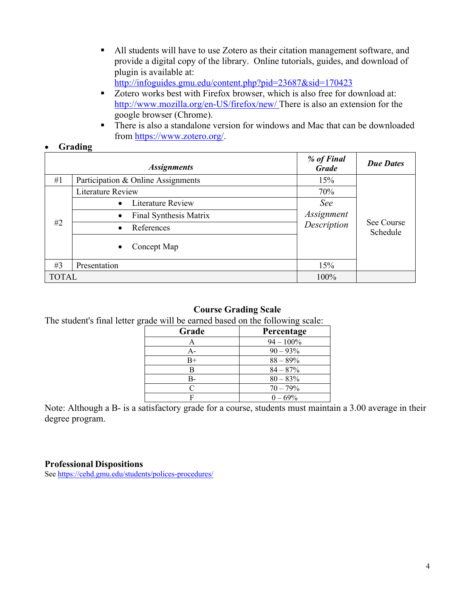■ All students will have to use Zotero as their citation management software, and provide a digital copy of the library. Online tutorials, guides, and download of plugin is available at:

http://infoguides.gmu.edu/content.php?pid=23687&sid=170423

- Zotero works best with Firefox browser, which is also free for download at: http://www.mozilla.org/en-US/firefox/new/ There is also an extension for the google browser (Chrome).
- There is also a standalone version for windows and Mac that can be downloaded from https://www.zotero.org/.

### • **Grading**

|              | <b>Assignments</b>                    | % of Final<br><b>Grade</b>       | <b>Due Dates</b>       |
|--------------|---------------------------------------|----------------------------------|------------------------|
| #1           | Participation & Online Assignments    | 15%                              |                        |
|              | <b>Literature Review</b>              | 70%                              |                        |
| #2           | <b>Literature Review</b><br>$\bullet$ | See<br>Assignment<br>Description | See Course<br>Schedule |
|              | Final Synthesis Matrix<br>$\bullet$   |                                  |                        |
|              | References<br>$\bullet$               |                                  |                        |
|              | Concept Map<br>$\bullet$              |                                  |                        |
| #3           | Presentation                          | 15%                              |                        |
| <b>TOTAL</b> |                                       | 100%                             |                        |

#### **Course Grading Scale**

The student's final letter grade will be earned based on the following scale:

| Grade     | Percentage   |
|-----------|--------------|
| А         | $94 - 100\%$ |
| A-        | $90 - 93\%$  |
| $B+$      | $88 - 89%$   |
| В         | $84 - 87\%$  |
| В-        | $80 - 83%$   |
| $\subset$ | $70 - 79%$   |
| F         | $0 - 69\%$   |

Note: Although a B- is a satisfactory grade for a course, students must maintain a 3.00 average in their degree program.

#### **Professional Dispositions**

See https://cehd.gmu.edu/students/polices-procedures/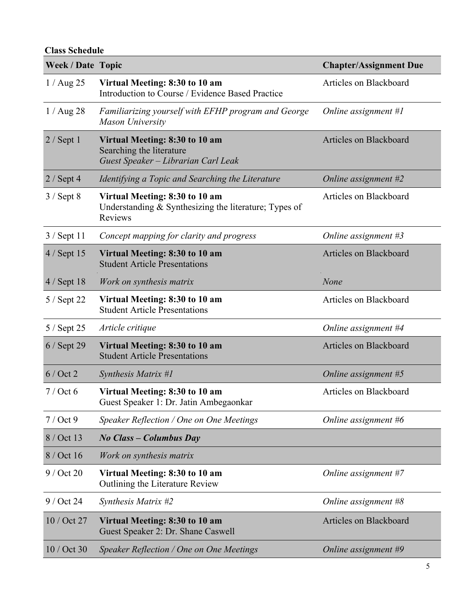## **Class Schedule**

| <b>Week / Date Topic</b> |                                                                                                             | <b>Chapter/Assignment Due</b> |  |
|--------------------------|-------------------------------------------------------------------------------------------------------------|-------------------------------|--|
| $1/$ Aug 25              | Virtual Meeting: 8:30 to 10 am<br>Introduction to Course / Evidence Based Practice                          | Articles on Blackboard        |  |
| $1/$ Aug 28              | Familiarizing yourself with EFHP program and George<br><b>Mason University</b>                              | Online assignment #1          |  |
| $2 /$ Sept 1             | Virtual Meeting: 8:30 to 10 am<br>Searching the literature<br>Guest Speaker - Librarian Carl Leak           | Articles on Blackboard        |  |
| $2 /$ Sept 4             | Identifying a Topic and Searching the Literature                                                            | Online assignment #2          |  |
| $3/$ Sept $8$            | Virtual Meeting: 8:30 to 10 am<br>Understanding $&$ Synthesizing the literature; Types of<br><b>Reviews</b> | Articles on Blackboard        |  |
| $3 /$ Sept 11            | Concept mapping for clarity and progress                                                                    | Online assignment #3          |  |
| 4 / Sept 15              | Virtual Meeting: 8:30 to 10 am<br><b>Student Article Presentations</b>                                      | Articles on Blackboard        |  |
| $4/$ Sept 18             | Work on synthesis matrix                                                                                    | None                          |  |
| 5 / Sept 22              | Virtual Meeting: 8:30 to 10 am<br><b>Student Article Presentations</b>                                      | Articles on Blackboard        |  |
| 5 / Sept 25              | Article critique                                                                                            | Online assignment #4          |  |
| $6/$ Sept 29             | Virtual Meeting: 8:30 to 10 am<br><b>Student Article Presentations</b>                                      | Articles on Blackboard        |  |
| $6$ / Oct 2              | Synthesis Matrix #1                                                                                         | Online assignment #5          |  |
| $7/$ Oct 6               | Virtual Meeting: 8:30 to 10 am<br>Guest Speaker 1: Dr. Jatin Ambegaonkar                                    | Articles on Blackboard        |  |
| $7/$ Oct 9               | Speaker Reflection / One on One Meetings                                                                    | Online assignment #6          |  |
| 8 / Oct 13               | No Class – Columbus Day                                                                                     |                               |  |
| 8 / Oct 16               | Work on synthesis matrix                                                                                    |                               |  |
| $9/$ Oct 20              | Virtual Meeting: 8:30 to 10 am<br>Outlining the Literature Review                                           | Online assignment #7          |  |
| 9 / Oct 24               | Synthesis Matrix #2                                                                                         | Online assignment #8          |  |
| 10 / Oct 27              | Virtual Meeting: 8:30 to 10 am<br>Guest Speaker 2: Dr. Shane Caswell                                        | Articles on Blackboard        |  |
| 10 / Oct 30              | Speaker Reflection / One on One Meetings                                                                    | Online assignment #9          |  |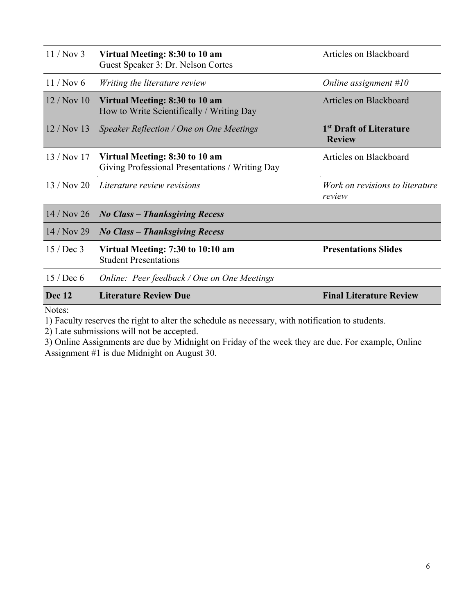| 11/Nov <sub>3</sub> | Virtual Meeting: 8:30 to 10 am<br>Guest Speaker 3: Dr. Nelson Cortes              | Articles on Blackboard                               |  |
|---------------------|-----------------------------------------------------------------------------------|------------------------------------------------------|--|
| 11 / Now 6          | Writing the literature review                                                     | Online assignment $#10$                              |  |
| 12/Nov10            | Virtual Meeting: 8:30 to 10 am<br>How to Write Scientifically / Writing Day       | Articles on Blackboard                               |  |
| $12/Nov$ 13         | Speaker Reflection / One on One Meetings                                          | 1 <sup>st</sup> Draft of Literature<br><b>Review</b> |  |
| 13 / Nov 17         | Virtual Meeting: 8:30 to 10 am<br>Giving Professional Presentations / Writing Day | Articles on Blackboard                               |  |
| 13/Nov20            | Literature review revisions                                                       | Work on revisions to literature<br>review            |  |
| 14/Nov 26           | <b>No Class - Thanksgiving Recess</b>                                             |                                                      |  |
| 14/Nov 29           | <b>No Class - Thanksgiving Recess</b>                                             |                                                      |  |
| $15$ / Dec 3        | Virtual Meeting: 7:30 to 10:10 am<br><b>Student Presentations</b>                 | <b>Presentations Slides</b>                          |  |
| $15$ / Dec 6        | Online: Peer feedback / One on One Meetings                                       |                                                      |  |
| <b>Dec 12</b>       | <b>Literature Review Due</b>                                                      | <b>Final Literature Review</b>                       |  |
| Notes <sup>.</sup>  |                                                                                   |                                                      |  |

Notes:

1) Faculty reserves the right to alter the schedule as necessary, with notification to students.

2) Late submissions will not be accepted.

3) Online Assignments are due by Midnight on Friday of the week they are due. For example, Online Assignment #1 is due Midnight on August 30.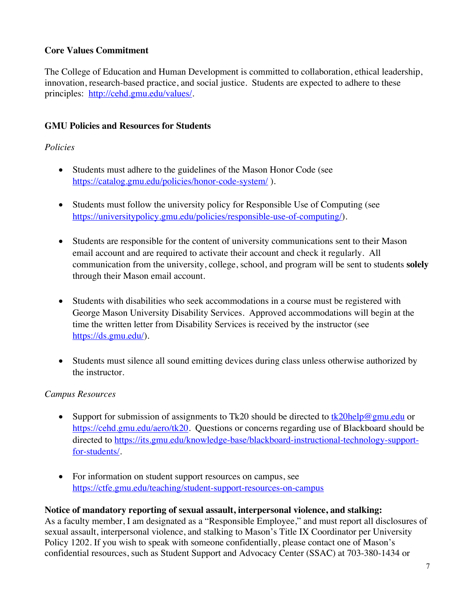# **Core Values Commitment**

The College of Education and Human Development is committed to collaboration, ethical leadership, innovation, research-based practice, and social justice. Students are expected to adhere to these principles: http://cehd.gmu.edu/values/.

# **GMU Policies and Resources for Students**

## *Policies*

- Students must adhere to the guidelines of the Mason Honor Code (see https://catalog.gmu.edu/policies/honor-code-system/ ).
- Students must follow the university policy for Responsible Use of Computing (see https://universitypolicy.gmu.edu/policies/responsible-use-of-computing/).
- Students are responsible for the content of university communications sent to their Mason email account and are required to activate their account and check it regularly. All communication from the university, college, school, and program will be sent to students **solely** through their Mason email account.
- Students with disabilities who seek accommodations in a course must be registered with George Mason University Disability Services. Approved accommodations will begin at the time the written letter from Disability Services is received by the instructor (see https://ds.gmu.edu/).
- Students must silence all sound emitting devices during class unless otherwise authorized by the instructor.

## *Campus Resources*

- Support for submission of assignments to Tk20 should be directed to  $\frac{tk20 \text{ help} @gmu.edu}{k20 \text{ help}}$ https://cehd.gmu.edu/aero/tk20. Questions or concerns regarding use of Blackboard should be directed to https://its.gmu.edu/knowledge-base/blackboard-instructional-technology-supportfor-students/.
- For information on student support resources on campus, see https://ctfe.gmu.edu/teaching/student-support-resources-on-campus

## **Notice of mandatory reporting of sexual assault, interpersonal violence, and stalking:**

As a faculty member, I am designated as a "Responsible Employee," and must report all disclosures of sexual assault, interpersonal violence, and stalking to Mason's Title IX Coordinator per University Policy 1202. If you wish to speak with someone confidentially, please contact one of Mason's confidential resources, such as Student Support and Advocacy Center (SSAC) at 703-380-1434 or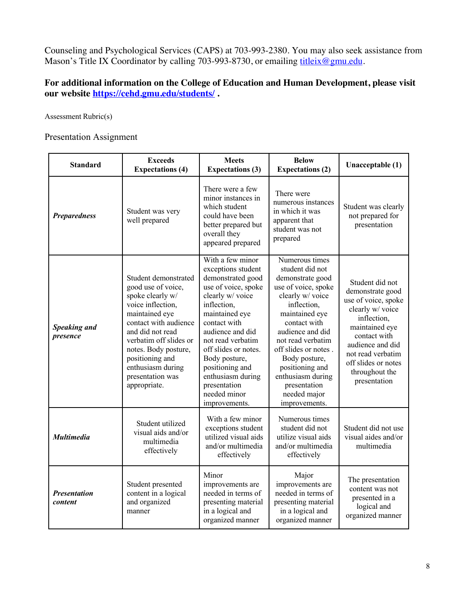Counseling and Psychological Services (CAPS) at 703-993-2380. You may also seek assistance from Mason's Title IX Coordinator by calling 703-993-8730, or emailing titleix@gmu.edu.

# **For additional information on the College of Education and Human Development, please visit our website https://cehd.gmu.edu/students/ .**

Assessment Rubric(s)

Presentation Assignment

| <b>Standard</b>                 | <b>Exceeds</b><br><b>Expectations (4)</b>                                                                                                                                                                                                                                        | <b>Meets</b><br><b>Expectations (3)</b>                                                                                                                                                                                                                                                                                            | <b>Below</b><br><b>Expectations (2)</b>                                                                                                                                                                                                                                                                                      | Unacceptable (1)                                                                                                                                                                                                                  |
|---------------------------------|----------------------------------------------------------------------------------------------------------------------------------------------------------------------------------------------------------------------------------------------------------------------------------|------------------------------------------------------------------------------------------------------------------------------------------------------------------------------------------------------------------------------------------------------------------------------------------------------------------------------------|------------------------------------------------------------------------------------------------------------------------------------------------------------------------------------------------------------------------------------------------------------------------------------------------------------------------------|-----------------------------------------------------------------------------------------------------------------------------------------------------------------------------------------------------------------------------------|
| <b>Preparedness</b>             | Student was very<br>well prepared                                                                                                                                                                                                                                                | There were a few<br>minor instances in<br>which student<br>could have been<br>better prepared but<br>overall they<br>appeared prepared                                                                                                                                                                                             | There were<br>numerous instances<br>in which it was<br>apparent that<br>student was not<br>prepared                                                                                                                                                                                                                          | Student was clearly<br>not prepared for<br>presentation                                                                                                                                                                           |
| <b>Speaking and</b><br>presence | Student demonstrated<br>good use of voice,<br>spoke clearly w/<br>voice inflection,<br>maintained eye<br>contact with audience<br>and did not read<br>verbatim off slides or<br>notes. Body posture,<br>positioning and<br>enthusiasm during<br>presentation was<br>appropriate. | With a few minor<br>exceptions student<br>demonstrated good<br>use of voice, spoke<br>clearly w/ voice<br>inflection,<br>maintained eye<br>contact with<br>audience and did<br>not read verbatim<br>off slides or notes.<br>Body posture,<br>positioning and<br>enthusiasm during<br>presentation<br>needed minor<br>improvements. | Numerous times<br>student did not<br>demonstrate good<br>use of voice, spoke<br>clearly w/ voice<br>inflection,<br>maintained eye<br>contact with<br>audience and did<br>not read verbatim<br>off slides or notes.<br>Body posture,<br>positioning and<br>enthusiasm during<br>presentation<br>needed major<br>improvements. | Student did not<br>demonstrate good<br>use of voice, spoke<br>clearly w/ voice<br>inflection,<br>maintained eye<br>contact with<br>audience and did<br>not read verbatim<br>off slides or notes<br>throughout the<br>presentation |
| <b>Multimedia</b>               | Student utilized<br>visual aids and/or<br>multimedia<br>effectively                                                                                                                                                                                                              | With a few minor<br>exceptions student<br>utilized visual aids<br>and/or multimedia<br>effectively                                                                                                                                                                                                                                 | Numerous times<br>student did not<br>utilize visual aids<br>and/or multimedia<br>effectively                                                                                                                                                                                                                                 | Student did not use<br>visual aides and/or<br>multimedia                                                                                                                                                                          |
| <b>Presentation</b><br>content  | Student presented<br>content in a logical<br>and organized<br>manner                                                                                                                                                                                                             | Minor<br>improvements are<br>needed in terms of<br>presenting material<br>in a logical and<br>organized manner                                                                                                                                                                                                                     | Major<br>improvements are<br>needed in terms of<br>presenting material<br>in a logical and<br>organized manner                                                                                                                                                                                                               | The presentation<br>content was not<br>presented in a<br>logical and<br>organized manner                                                                                                                                          |